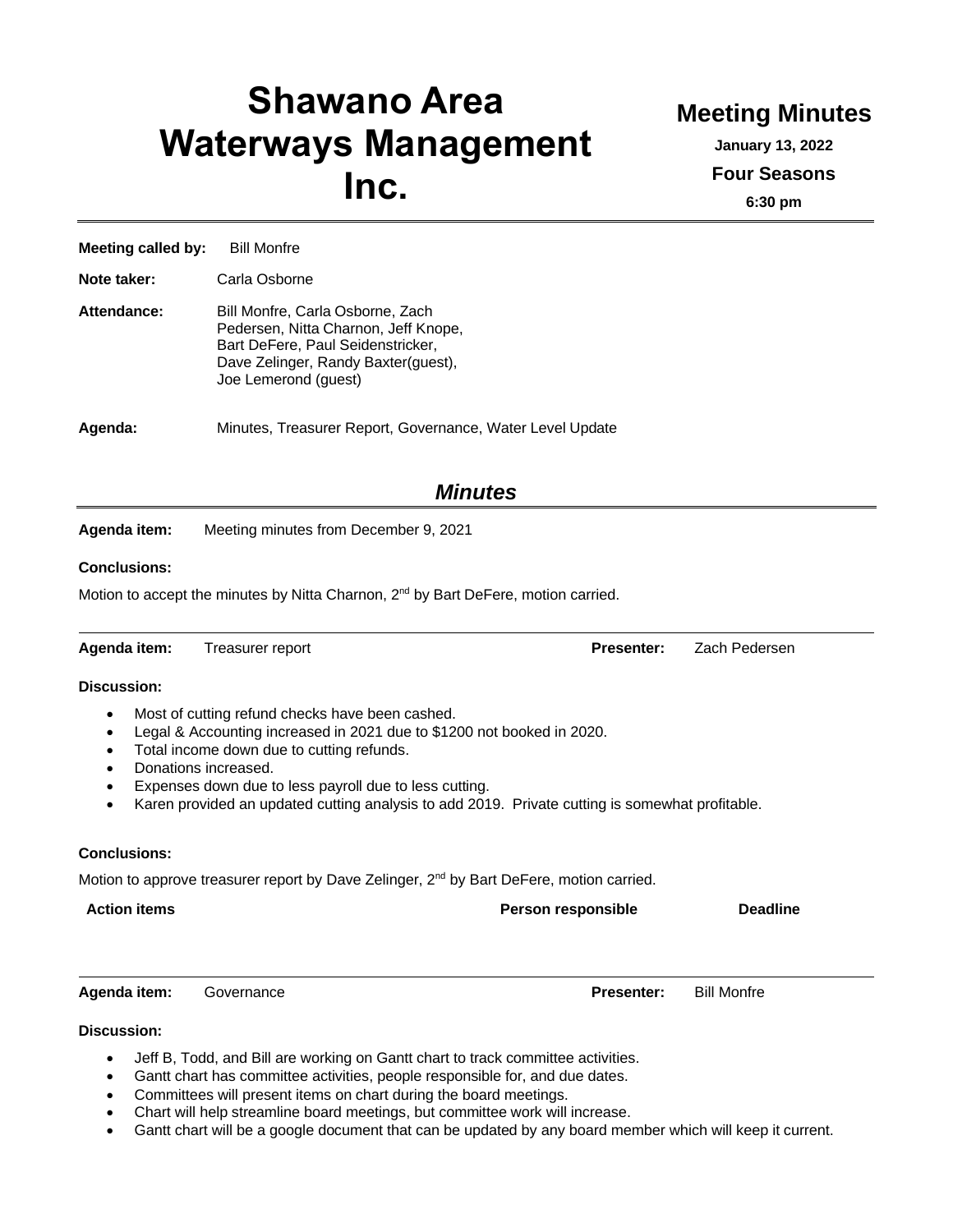# **Shawano Area Waterways Management Inc.**

## **Meeting Minutes**

**January 13, 2022 Four Seasons**

**6:30 pm**

**Meeting called by:** Bill Monfre

**Note taker:** Carla Osborne

| Attendance: | Bill Monfre, Carla Osborne, Zach<br>Pedersen, Nitta Charnon, Jeff Knope,<br>Bart DeFere, Paul Seidenstricker,<br>Dave Zelinger, Randy Baxter(guest),<br>Joe Lemerond (guest) |
|-------------|------------------------------------------------------------------------------------------------------------------------------------------------------------------------------|
|             |                                                                                                                                                                              |

**Agenda:** Minutes, Treasurer Report, Governance, Water Level Update

### *Minutes*

**Agenda item:** Meeting minutes from December 9, 2021

#### **Conclusions:**

Motion to accept the minutes by Nitta Charnon, 2<sup>nd</sup> by Bart DeFere, motion carried.

**Agenda item:** Treasurer report **Presenter:** Zach Pedersen

#### **Discussion:**

- Most of cutting refund checks have been cashed.
- Legal & Accounting increased in 2021 due to \$1200 not booked in 2020.
- Total income down due to cutting refunds.
- Donations increased.
- Expenses down due to less payroll due to less cutting.
- Karen provided an updated cutting analysis to add 2019. Private cutting is somewhat profitable.

#### **Conclusions:**

Motion to approve treasurer report by Dave Zelinger, 2<sup>nd</sup> by Bart DeFere, motion carried.

**Action items Person responsible Deadline**

**Agenda item:** Governance **Presenter:** Bill Monfre

#### **Discussion:**

- Jeff B, Todd, and Bill are working on Gantt chart to track committee activities.
- Gantt chart has committee activities, people responsible for, and due dates.
- Committees will present items on chart during the board meetings.
- Chart will help streamline board meetings, but committee work will increase.
- Gantt chart will be a google document that can be updated by any board member which will keep it current.